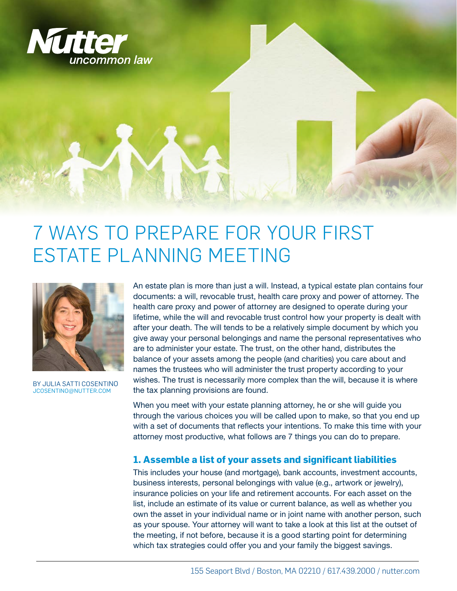

#### 7 WAYS TO PREPARE FOR YOUR FIRST ESTATE PLANNING MEETING



BY JULIA SATTI COSENTINO JCOSENTINO@NUTTER.COM

An estate plan is more than just a will. Instead, a typical estate plan contains four documents: a will, revocable trust, health care proxy and power of attorney. The health care proxy and power of attorney are designed to operate during your lifetime, while the will and revocable trust control how your property is dealt with after your death. The will tends to be a relatively simple document by which you give away your personal belongings and name the personal representatives who are to administer your estate. The trust, on the other hand, distributes the balance of your assets among the people (and charities) you care about and names the trustees who will administer the trust property according to your wishes. The trust is necessarily more complex than the will, because it is where the tax planning provisions are found.

When you meet with your estate planning attorney, he or she will guide you through the various choices you will be called upon to make, so that you end up with a set of documents that reflects your intentions. To make this time with your attorney most productive, what follows are 7 things you can do to prepare.

#### **1. Assemble a list of your assets and significant liabilities**

This includes your house (and mortgage), bank accounts, investment accounts, business interests, personal belongings with value (e.g., artwork or jewelry), insurance policies on your life and retirement accounts. For each asset on the list, include an estimate of its value or current balance, as well as whether you own the asset in your individual name or in joint name with another person, such as your spouse. Your attorney will want to take a look at this list at the outset of the meeting, if not before, because it is a good starting point for determining which tax strategies could offer you and your family the biggest savings.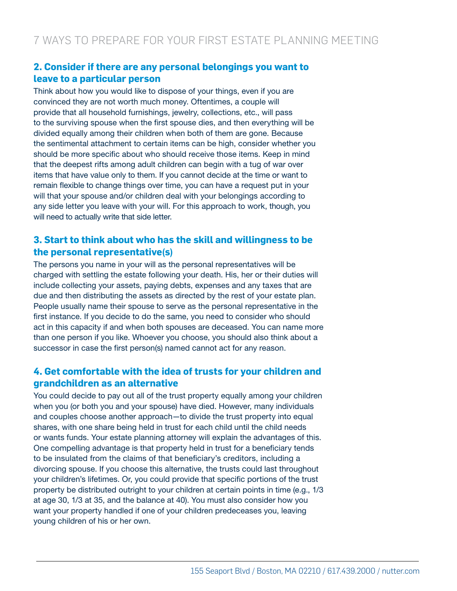#### **2. Consider if there are any personal belongings you want to leave to a particular person**

Think about how you would like to dispose of your things, even if you are convinced they are not worth much money. Oftentimes, a couple will provide that all household furnishings, jewelry, collections, etc., will pass to the surviving spouse when the first spouse dies, and then everything will be divided equally among their children when both of them are gone. Because the sentimental attachment to certain items can be high, consider whether you should be more specific about who should receive those items. Keep in mind that the deepest rifts among adult children can begin with a tug of war over items that have value only to them. If you cannot decide at the time or want to remain flexible to change things over time, you can have a request put in your will that your spouse and/or children deal with your belongings according to any side letter you leave with your will. For this approach to work, though, you will need to actually write that side letter.

#### **3. Start to think about who has the skill and willingness to be the personal representative(s)**

The persons you name in your will as the personal representatives will be charged with settling the estate following your death. His, her or their duties will include collecting your assets, paying debts, expenses and any taxes that are due and then distributing the assets as directed by the rest of your estate plan. People usually name their spouse to serve as the personal representative in the first instance. If you decide to do the same, you need to consider who should act in this capacity if and when both spouses are deceased. You can name more than one person if you like. Whoever you choose, you should also think about a successor in case the first person(s) named cannot act for any reason.

#### **4. Get comfortable with the idea of trusts for your children and grandchildren as an alternative**

You could decide to pay out all of the trust property equally among your children when you (or both you and your spouse) have died. However, many individuals and couples choose another approach—to divide the trust property into equal shares, with one share being held in trust for each child until the child needs or wants funds. Your estate planning attorney will explain the advantages of this. One compelling advantage is that property held in trust for a beneficiary tends to be insulated from the claims of that beneficiary's creditors, including a divorcing spouse. If you choose this alternative, the trusts could last throughout your children's lifetimes. Or, you could provide that specific portions of the trust property be distributed outright to your children at certain points in time (e.g., 1/3 at age 30, 1/3 at 35, and the balance at 40). You must also consider how you want your property handled if one of your children predeceases you, leaving young children of his or her own.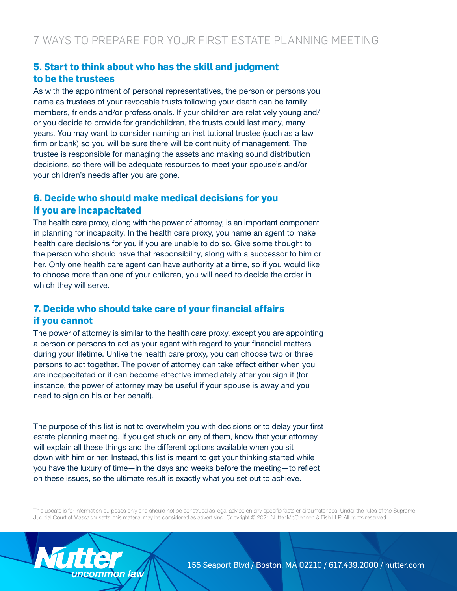#### **5. Start to think about who has the skill and judgment to be the trustees**

As with the appointment of personal representatives, the person or persons you name as trustees of your revocable trusts following your death can be family members, friends and/or professionals. If your children are relatively young and/ or you decide to provide for grandchildren, the trusts could last many, many years. You may want to consider naming an institutional trustee (such as a law firm or bank) so you will be sure there will be continuity of management. The trustee is responsible for managing the assets and making sound distribution decisions, so there will be adequate resources to meet your spouse's and/or your children's needs after you are gone.

#### **6. Decide who should make medical decisions for you if you are incapacitated**

The health care proxy, along with the power of attorney, is an important component in planning for incapacity. In the health care proxy, you name an agent to make health care decisions for you if you are unable to do so. Give some thought to the person who should have that responsibility, along with a successor to him or her. Only one health care agent can have authority at a time, so if you would like to choose more than one of your children, you will need to decide the order in which they will serve.

#### **7. Decide who should take care of your financial affairs if you cannot**

The power of attorney is similar to the health care proxy, except you are appointing a person or persons to act as your agent with regard to your financial matters during your lifetime. Unlike the health care proxy, you can choose two or three persons to act together. The power of attorney can take effect either when you are incapacitated or it can become effective immediately after you sign it (for instance, the power of attorney may be useful if your spouse is away and you need to sign on his or her behalf).

The purpose of this list is not to overwhelm you with decisions or to delay your first estate planning meeting. If you get stuck on any of them, know that your attorney will explain all these things and the different options available when you sit down with him or her. Instead, this list is meant to get your thinking started while you have the luxury of time—in the days and weeks before the meeting—to reflect on these issues, so the ultimate result is exactly what you set out to achieve.

This update is for information purposes only and should not be construed as legal advice on any specific facts or circumstances. Under the rules of the Supreme Judicial Court of Massachusetts, this material may be considered as advertising. Copyright © 2021 Nutter McClennen & Fish LLP. All rights reserved.

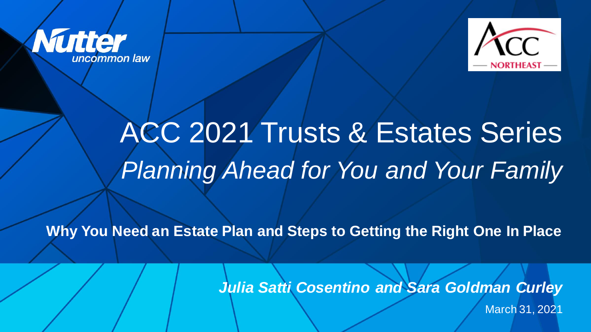



# ACC 2021 Trusts & Estates Series *Planning Ahead for You and Your Family*

**Why You Need an Estate Plan and Steps to Getting the Right One In Place**

*Julia Satti Cosentino and Sara Goldman Curley* 

March 31, 2021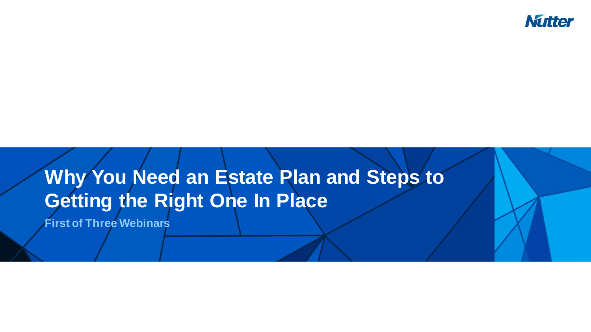

## **Why You Need an Estate Plan and Steps to Getting the Right One In Place**

**First of Three Webinars**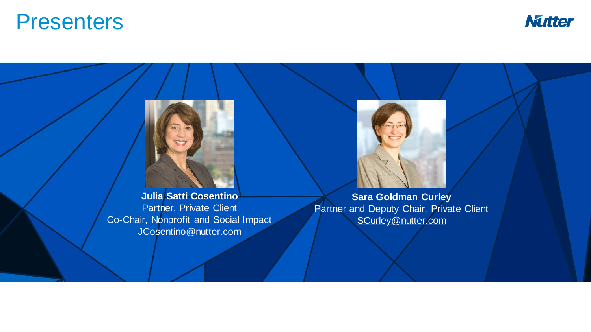### **Presenters**



**Julia Satti Cosentino** Partner, Private Client Co-Chair, Nonprofit and Social Impact [JCosentino@nutter.com](mailto:jcosentino@nutter.com)

**Sara Goldman Curley** Partner and Deputy Chair, Private Client [SCurley@nutter.com](mailto:SCurley@nutter.com)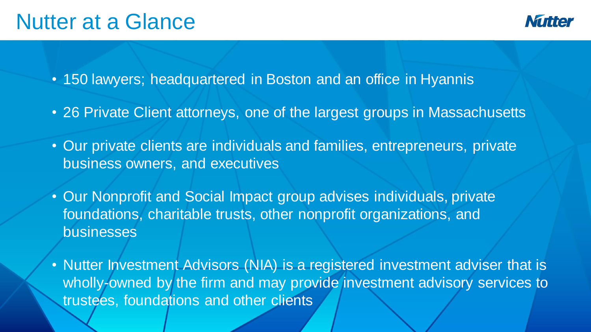### Nutter at a Glance

• 150 lawyers; headquartered in Boston and an office in Hyannis

- 26 Private Client attorneys, one of the largest groups in Massachusetts
- Our private clients are individuals and families, entrepreneurs, private business owners, and executives
- Our Nonprofit and Social Impact group advises individuals, private foundations, charitable trusts, other nonprofit organizations, and businesses
- Nutter Investment Advisors (NIA) is a registered investment adviser that is wholly-owned by the firm and may provide investment advisory services to trustees, foundations and other clients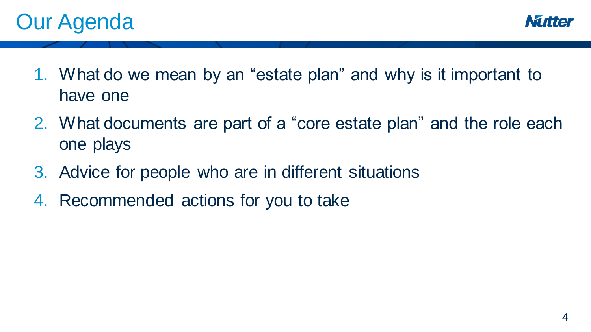



- 1. What do we mean by an "estate plan" and why is it important to have one
- 2. What documents are part of a "core estate plan" and the role each one plays
- 3. Advice for people who are in different situations
- 4. Recommended actions for you to take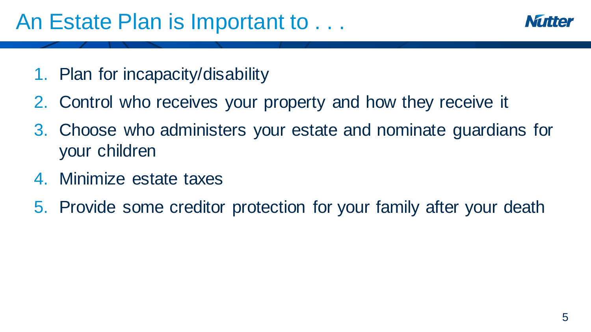

- 1. Plan for incapacity/disability
- 2. Control who receives your property and how they receive it
- 3. Choose who administers your estate and nominate guardians for your children
- 4. Minimize estate taxes
- 5. Provide some creditor protection for your family after your death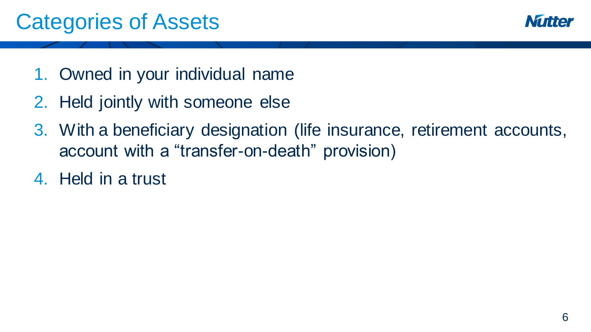

- 1. Owned in your individual name
- 2. Held jointly with someone else
- 3. With a beneficiary designation (life insurance, retirement accounts, account with a "transfer-on-death" provision)
- 4. Held in a trust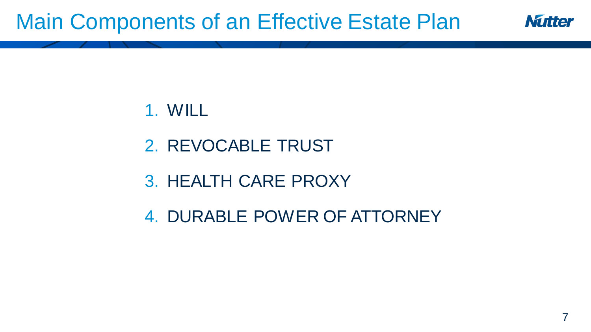## Main Components of an Effective Estate Plan



#### 1. WILL

- 2. REVOCABLE TRUST
- 3. HEALTH CARE PROXY
- 4. DURABLE POWER OF ATTORNEY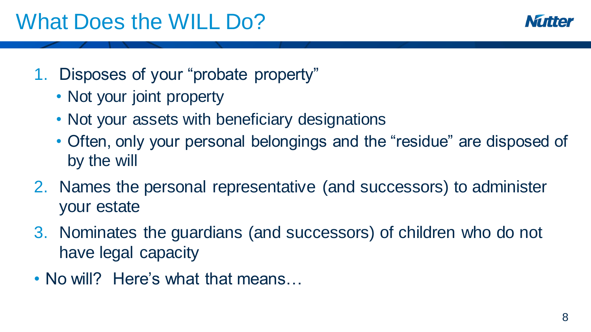

### 1. Disposes of your "probate property"

- Not your joint property
- Not your assets with beneficiary designations
- Often, only your personal belongings and the "residue" are disposed of by the will
- 2. Names the personal representative (and successors) to administer your estate
- 3. Nominates the guardians (and successors) of children who do not have legal capacity
- No will? Here's what that means...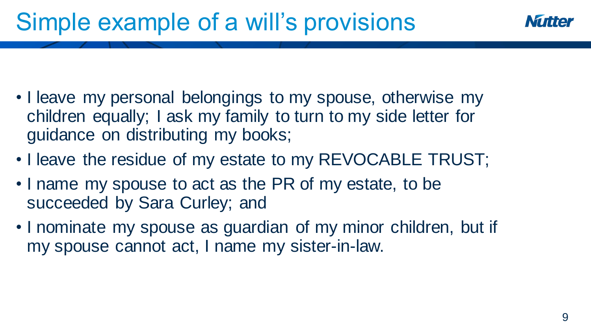## Simple example of a will's provisions

- I leave my personal belongings to my spouse, otherwise my children equally; I ask my family to turn to my side letter for guidance on distributing my books;
- I leave the residue of my estate to my REVOCABLE TRUST;
- I name my spouse to act as the PR of my estate, to be succeeded by Sara Curley; and
- I nominate my spouse as guardian of my minor children, but if my spouse cannot act, I name my sister-in-law.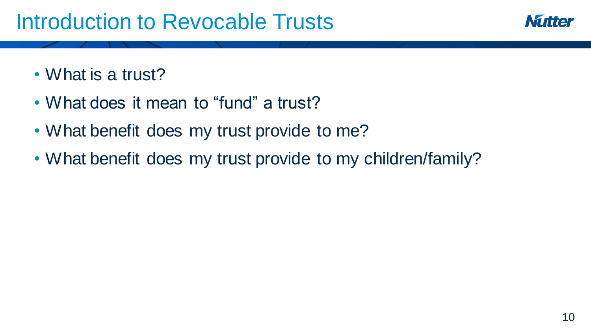## Introduction to Revocable Trusts



- What is a trust?
- What does it mean to "fund" a trust?
- What benefit does my trust provide to me?
- What benefit does my trust provide to my children/family?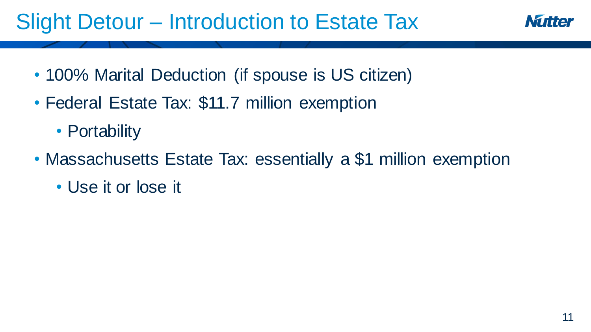## Slight Detour – Introduction to Estate Tax

- 100% Marital Deduction (if spouse is US citizen)
- Federal Estate Tax: \$11.7 million exemption
	- Portability
- Massachusetts Estate Tax: essentially a \$1 million exemption
	- Use it or lose it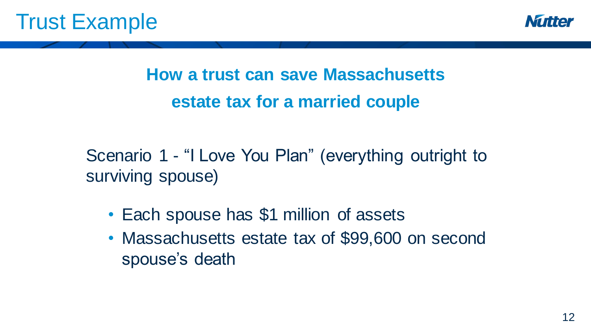

**How a trust can save Massachusetts estate tax for a married couple**

Scenario 1 - "I Love You Plan" (everything outright to surviving spouse)

- Each spouse has \$1 million of assets
- Massachusetts estate tax of \$99,600 on second spouse's death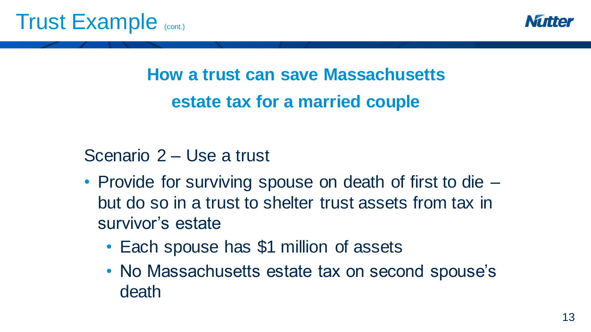

**How a trust can save Massachusetts estate tax for a married couple**

Scenario 2 – Use a trust

- Provide for surviving spouse on death of first to die but do so in a trust to shelter trust assets from tax in survivor's estate
	- Each spouse has \$1 million of assets
	- No Massachusetts estate tax on second spouse's death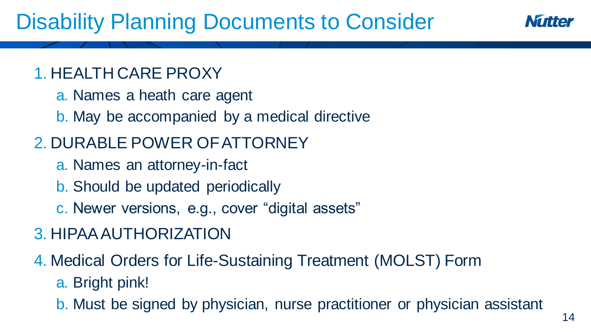## Disability Planning Documents to Consider

#### 1. HEALTH CARE PROXY

- a. Names a heath care agent
- b. May be accompanied by a medical directive

### 2. DURABLE POWER OF ATTORNEY

- a. Names an attorney-in-fact
- b. Should be updated periodically
- c. Newer versions, e.g., cover "digital assets"

### 3. HIPAA AUTHORIZATION

4. Medical Orders for Life-Sustaining Treatment (MOLST) Form

#### a. Bright pink!

b. Must be signed by physician, nurse practitioner or physician assistant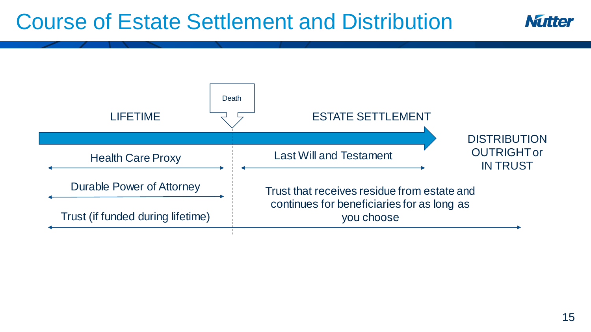## Course of Estate Settlement and Distribution



**Mutter**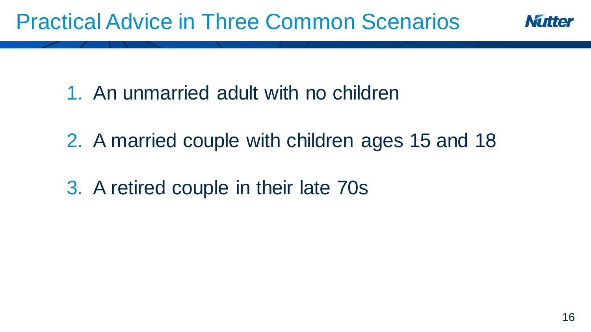

1. An unmarried adult with no children

- 2. A married couple with children ages 15 and 18
- 3. A retired couple in their late 70s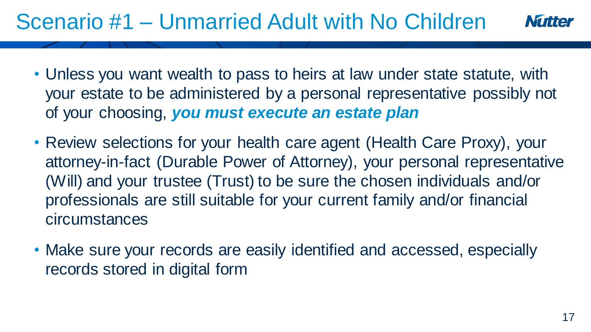## Scenario #1 – Unmarried Adult with No Children

- Unless you want wealth to pass to heirs at law under state statute, with your estate to be administered by a personal representative possibly not of your choosing, *you must execute an estate plan*
- Review selections for your health care agent (Health Care Proxy), your attorney-in-fact (Durable Power of Attorney), your personal representative (Will) and your trustee (Trust) to be sure the chosen individuals and/or professionals are still suitable for your current family and/or financial circumstances
- Make sure your records are easily identified and accessed, especially records stored in digital form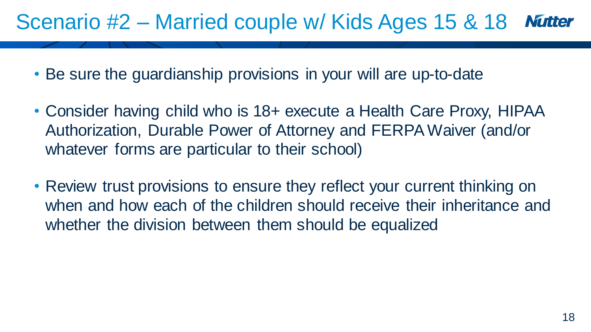#### Scenario #2 – Married couple w/ Kids Ages 15 & 18 **Mutter**

- Be sure the guardianship provisions in your will are up-to-date
- Consider having child who is 18+ execute a Health Care Proxy, HIPAA Authorization, Durable Power of Attorney and FERPA Waiver (and/or whatever forms are particular to their school)
- Review trust provisions to ensure they reflect your current thinking on when and how each of the children should receive their inheritance and whether the division between them should be equalized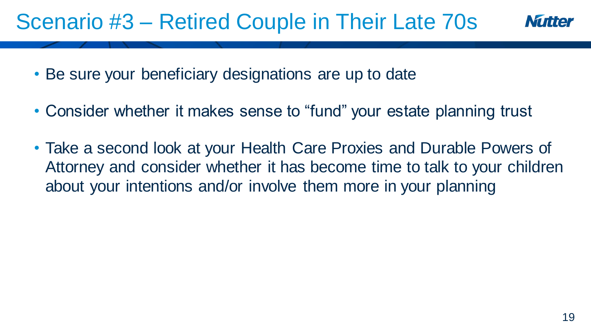### Scenario #3 – Retired Couple in Their Late 70s



- Be sure your beneficiary designations are up to date
- Consider whether it makes sense to "fund" your estate planning trust
- Take a second look at your Health Care Proxies and Durable Powers of Attorney and consider whether it has become time to talk to your children about your intentions and/or involve them more in your planning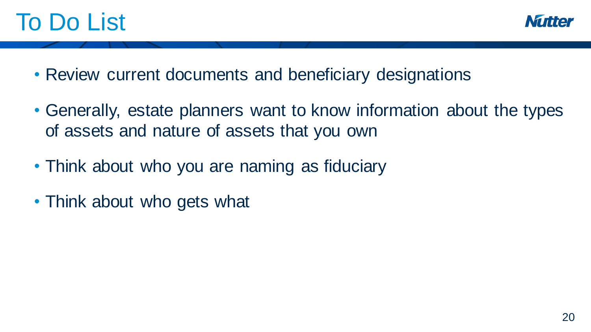## To Do List



- Review current documents and beneficiary designations
- Generally, estate planners want to know information about the types of assets and nature of assets that you own
- Think about who you are naming as fiduciary
- Think about who gets what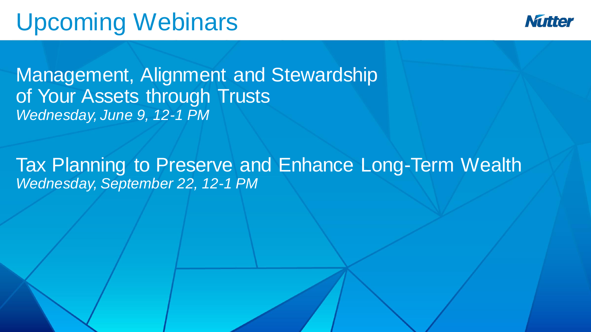## Upcoming Webinars



Management, Alignment and Stewardship of Your Assets through Trusts *Wednesday, June 9, 12-1 PM*

Tax Planning to Preserve and Enhance Long-Term Wealth *Wednesday, September 22, 12-1 PM*